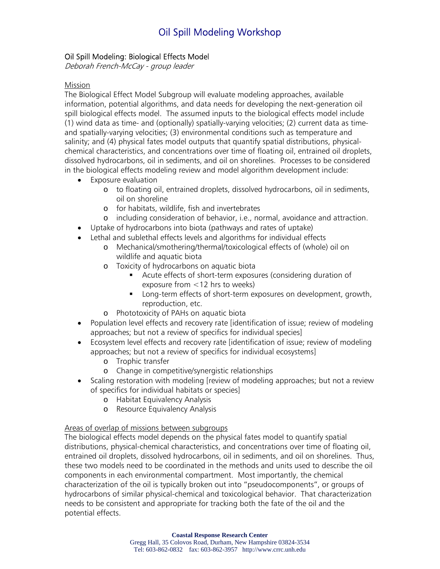# Oil Spill Modeling Workshop

### Oil Spill Modeling: Biological Effects Model

Deborah French-McCay - group leader

#### Mission

The Biological Effect Model Subgroup will evaluate modeling approaches, available information, potential algorithms, and data needs for developing the next-generation oil spill biological effects model. The assumed inputs to the biological effects model include (1) wind data as time- and (optionally) spatially-varying velocities; (2) current data as timeand spatially-varying velocities; (3) environmental conditions such as temperature and salinity; and (4) physical fates model outputs that quantify spatial distributions, physicalchemical characteristics, and concentrations over time of floating oil, entrained oil droplets, dissolved hydrocarbons, oil in sediments, and oil on shorelines. Processes to be considered in the biological effects modeling review and model algorithm development include:

- Exposure evaluation
	- o to floating oil, entrained droplets, dissolved hydrocarbons, oil in sediments, oil on shoreline
	- o for habitats, wildlife, fish and invertebrates
	- o including consideration of behavior, i.e., normal, avoidance and attraction.
- Uptake of hydrocarbons into biota (pathways and rates of uptake)
- Lethal and sublethal effects levels and algorithms for individual effects
	- o Mechanical/smothering/thermal/toxicological effects of (whole) oil on wildlife and aquatic biota
	- o Toxicity of hydrocarbons on aquatic biota
		- Acute effects of short-term exposures (considering duration of exposure from <12 hrs to weeks)
		- Long-term effects of short-term exposures on development, growth, reproduction, etc.
	- o Phototoxicity of PAHs on aquatic biota
- Population level effects and recovery rate [identification of issue; review of modeling approaches; but not a review of specifics for individual species]
- Ecosystem level effects and recovery rate [identification of issue; review of modeling approaches; but not a review of specifics for individual ecosystems]
	- o Trophic transfer
	- o Change in competitive/synergistic relationships
- Scaling restoration with modeling [review of modeling approaches; but not a review of specifics for individual habitats or species]
	- o Habitat Equivalency Analysis
	- o Resource Equivalency Analysis

#### Areas of overlap of missions between subgroups

The biological effects model depends on the physical fates model to quantify spatial distributions, physical-chemical characteristics, and concentrations over time of floating oil, entrained oil droplets, dissolved hydrocarbons, oil in sediments, and oil on shorelines. Thus, these two models need to be coordinated in the methods and units used to describe the oil components in each environmental compartment. Most importantly, the chemical characterization of the oil is typically broken out into "pseudocomponents", or groups of hydrocarbons of similar physical-chemical and toxicological behavior. That characterization needs to be consistent and appropriate for tracking both the fate of the oil and the potential effects.